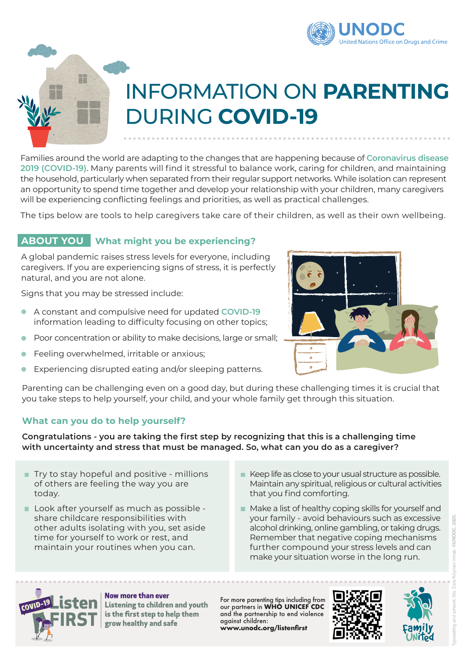

# INFORMATION ON **PARENTING** DURING **COVID-19**

Families around the world are adapting to the changes that are happening because of **Coronavirus disease 2019 (COVID-19)**. Many parents will find it stressful to balance work, caring for children, and maintaining the household, particularly when separated from their regular support networks. While isolation can represent an opportunity to spend time together and develop your relationship with your children, many caregivers will be experiencing conflicting feelings and priorities, as well as practical challenges.

The tips below are tools to help caregivers take care of their children, as well as their own wellbeing.

## **ABOUT YOU What might you be experiencing?**

A global pandemic raises stress levels for everyone, including caregivers. If you are experiencing signs of stress, it is perfectly natural, and you are not alone.

Signs that you may be stressed include:

**NE** 

- A constant and compulsive need for updated **COVID-19** information leading to difficulty focusing on other topics;
- Poor concentration or ability to make decisions, large or small;
- **•** Feeling overwhelmed, irritable or anxious;
- Experiencing disrupted eating and/or sleeping patterns.



Parenting can be challenging even on a good day, but during these challenging times it is crucial that you take steps to help yourself, your child, and your whole family get through this situation.

### **What can you do to help yourself?**

**Congratulations - you are taking the first step by recognizing that this is a challenging time with uncertainty and stress that must be managed. So, what can you do as a caregiver?**

- **Try to stay hopeful and positive millions**  of others are feeling the way you are today.
- **Look after yourself as much as possible**  share childcare responsibilities with other adults isolating with you, set aside time for yourself to work or rest, and maintain your routines when you can.
- Keep life as close to your usual structure as possible. Maintain any spiritual, religious or cultural activities that you find comforting.
- $\blacksquare$  Make a list of healthy coping skills for yourself and your family - avoid behaviours such as excessive alcohol drinking, online gambling, or taking drugs. Remember that negative coping mechanisms further compound your stress levels and can make your situation worse in the long run.



Now more than ever **Listening to children and youth** is the first step to help them grow healthy and safe

For more parenting tips including from our partners in **WHO UNICEF CDC** and the partnership to end violence against children: **www.unodc.org/listenfirst**